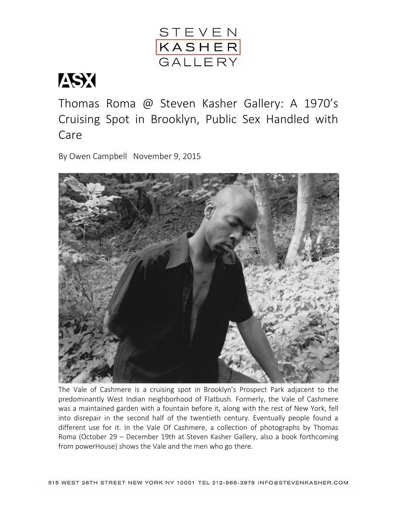

## ASX

Thomas Roma @ Steven Kasher Gallery: A 1970's Cruising Spot in Brooklyn, Public Sex Handled with Care

By Owen Campbell November 9, 2015



The Vale of Cashmere is a cruising spot in Brooklyn's Prospect Park adjacent to the predominantly West Indian neighborhood of Flatbush. Formerly, the Vale of Cashmere was a maintained garden with a fountain before it, along with the rest of New York, fell into disrepair in the second half of the twentieth century. Eventually people found a different use for it. In the Vale Of Cashmere, a collection of photographs by Thomas Roma (October 29 – December 19th at Steven Kasher Gallery, also a book forthcoming from powerHouse) shows the Vale and the men who go there.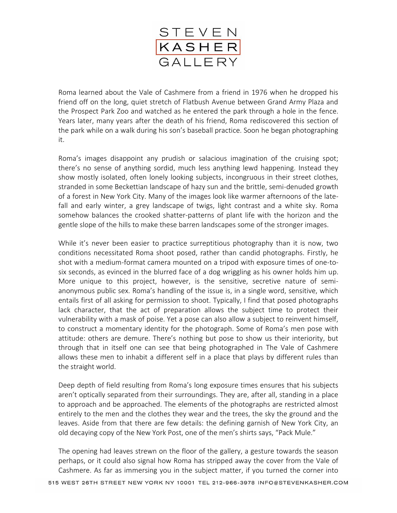

Roma learned about the Vale of Cashmere from a friend in 1976 when he dropped his friend off on the long, quiet stretch of Flatbush Avenue between Grand Army Plaza and the Prospect Park Zoo and watched as he entered the park through a hole in the fence. Years later, many years after the death of his friend, Roma rediscovered this section of the park while on a walk during his son's baseball practice. Soon he began photographing it.

Roma's images disappoint any prudish or salacious imagination of the cruising spot; there's no sense of anything sordid, much less anything lewd happening. Instead they show mostly isolated, often lonely looking subjects, incongruous in their street clothes, stranded in some Beckettian landscape of hazy sun and the brittle, semi-denuded growth of a forest in New York City. Many of the images look like warmer afternoons of the latefall and early winter, a grey landscape of twigs, light contrast and a white sky. Roma somehow balances the crooked shatter-patterns of plant life with the horizon and the gentle slope of the hills to make these barren landscapes some of the stronger images.

While it's never been easier to practice surreptitious photography than it is now, two conditions necessitated Roma shoot posed, rather than candid photographs. Firstly, he shot with a medium-format camera mounted on a tripod with exposure times of one-tosix seconds, as evinced in the blurred face of a dog wriggling as his owner holds him up. More unique to this project, however, is the sensitive, secretive nature of semianonymous public sex. Roma's handling of the issue is, in a single word, sensitive, which entails first of all asking for permission to shoot. Typically, I find that posed photographs lack character, that the act of preparation allows the subject time to protect their vulnerability with a mask of poise. Yet a pose can also allow a subject to reinvent himself, to construct a momentary identity for the photograph. Some of Roma's men pose with attitude: others are demure. There's nothing but pose to show us their interiority, but through that in itself one can see that being photographed in The Vale of Cashmere allows these men to inhabit a different self in a place that plays by different rules than the straight world.

Deep depth of field resulting from Roma's long exposure times ensures that his subjects aren't optically separated from their surroundings. They are, after all, standing in a place to approach and be approached. The elements of the photographs are restricted almost entirely to the men and the clothes they wear and the trees, the sky the ground and the leaves. Aside from that there are few details: the defining garnish of New York City, an old decaying copy of the New York Post, one of the men's shirts says, "Pack Mule."

The opening had leaves strewn on the floor of the gallery, a gesture towards the season perhaps, or it could also signal how Roma has stripped away the cover from the Vale of Cashmere. As far as immersing you in the subject matter, if you turned the corner into